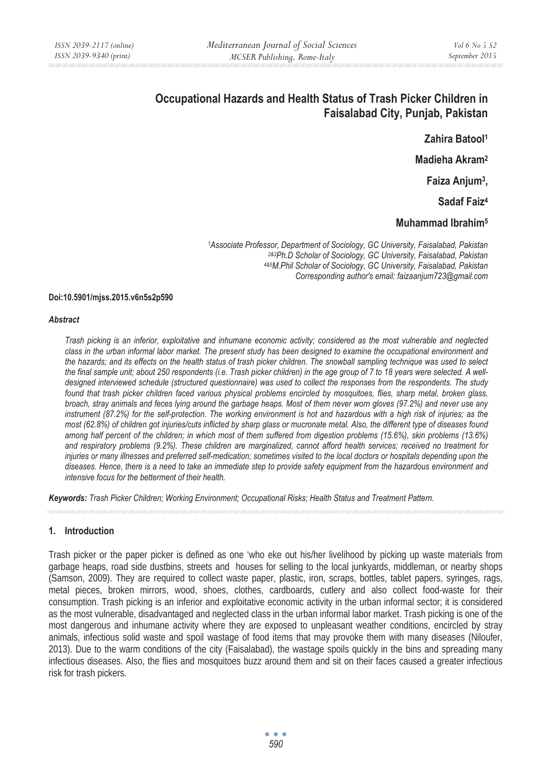# **Occupational Hazards and Health Status of Trash Picker Children in Faisalabad City, Punjab, Pakistan**

**Zahira Batool1 Madieha Akram2 Faiza Anjum3,** 

**Sadaf Faiz4** 

**Muhammad Ibrahim5** 

*1Associate Professor, Department of Sociology, GC University, Faisalabad, Pakistan 2&3Ph.D Scholar of Sociology, GC University, Faisalabad, Pakistan 4&5M.Phil Scholar of Sociology, GC University, Faisalabad, Pakistan Corresponding author's email: faizaanjum723@gmail.com* 

#### **Doi:10.5901/mjss.2015.v6n5s2p590**

#### *Abstract*

*Trash picking is an inferior, exploitative and inhumane economic activity; considered as the most vulnerable and neglected class in the urban informal labor market. The present study has been designed to examine the occupational environment and the hazards; and its effects on the health status of trash picker children. The snowball sampling technique was used to select the final sample unit; about 250 respondents (i.e. Trash picker children) in the age group of 7 to 18 years were selected. A welldesigned interviewed schedule (structured questionnaire) was used to collect the responses from the respondents. The study found that trash picker children faced various physical problems encircled by mosquitoes, flies, sharp metal, broken glass, broach, stray animals and feces lying around the garbage heaps. Most of them never worn gloves (97.2%) and never use any instrument (87.2%) for the self-protection. The working environment is hot and hazardous with a high risk of injuries; as the most (62.8%) of children got injuries/cuts inflicted by sharp glass or mucronate metal. Also, the different type of diseases found among half percent of the children; in which most of them suffered from digestion problems (15.6%), skin problems (13.6%) and respiratory problems (9.2%). These children are marginalized, cannot afford health services; received no treatment for injuries or many illnesses and preferred self-medication; sometimes visited to the local doctors or hospitals depending upon the diseases. Hence, there is a need to take an immediate step to provide safety equipment from the hazardous environment and intensive focus for the betterment of their health.* 

*Keywords: Trash Picker Children; Working Environment; Occupational Risks; Health Status and Treatment Pattern.*

## **1. Introduction**

Trash picker or the paper picker is defined as one 'who eke out his/her livelihood by picking up waste materials from garbage heaps, road side dustbins, streets and houses for selling to the local junkyards, middleman, or nearby shops (Samson, 2009). They are required to collect waste paper, plastic, iron, scraps, bottles, tablet papers, syringes, rags, metal pieces, broken mirrors, wood, shoes, clothes, cardboards, cutlery and also collect food-waste for their consumption. Trash picking is an inferior and exploitative economic activity in the urban informal sector; it is considered as the most vulnerable, disadvantaged and neglected class in the urban informal labor market. Trash picking is one of the most dangerous and inhumane activity where they are exposed to unpleasant weather conditions, encircled by stray animals, infectious solid waste and spoil wastage of food items that may provoke them with many diseases (Niloufer, 2013). Due to the warm conditions of the city (Faisalabad), the wastage spoils quickly in the bins and spreading many infectious diseases. Also, the flies and mosquitoes buzz around them and sit on their faces caused a greater infectious risk for trash pickers.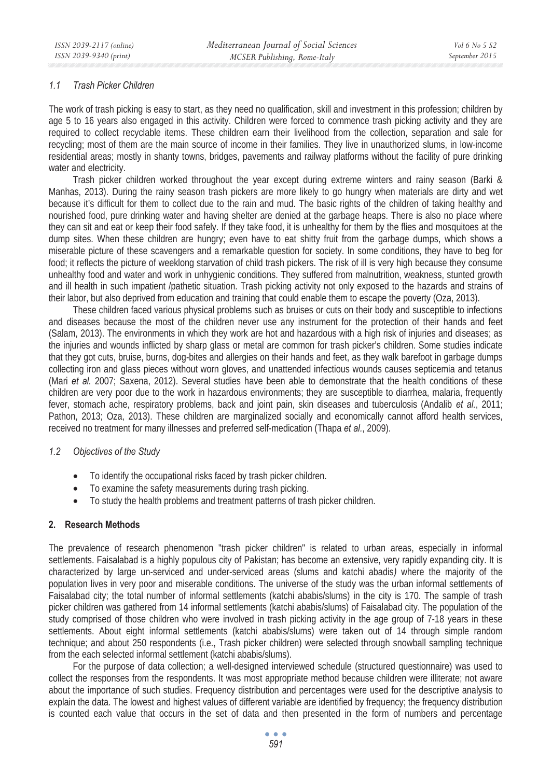## *1.1 Trash Picker Children*

The work of trash picking is easy to start, as they need no qualification, skill and investment in this profession; children by age 5 to 16 years also engaged in this activity. Children were forced to commence trash picking activity and they are required to collect recyclable items. These children earn their livelihood from the collection, separation and sale for recycling; most of them are the main source of income in their families. They live in unauthorized slums, in low-income residential areas; mostly in shanty towns, bridges, pavements and railway platforms without the facility of pure drinking water and electricity.

Trash picker children worked throughout the year except during extreme winters and rainy season (Barki & Manhas, 2013). During the rainy season trash pickers are more likely to go hungry when materials are dirty and wet because it's difficult for them to collect due to the rain and mud. The basic rights of the children of taking healthy and nourished food, pure drinking water and having shelter are denied at the garbage heaps. There is also no place where they can sit and eat or keep their food safely. If they take food, it is unhealthy for them by the flies and mosquitoes at the dump sites. When these children are hungry; even have to eat shitty fruit from the garbage dumps, which shows a miserable picture of these scavengers and a remarkable question for society. In some conditions, they have to beg for food; it reflects the picture of weeklong starvation of child trash pickers. The risk of ill is very high because they consume unhealthy food and water and work in unhygienic conditions. They suffered from malnutrition, weakness, stunted growth and ill health in such impatient /pathetic situation. Trash picking activity not only exposed to the hazards and strains of their labor, but also deprived from education and training that could enable them to escape the poverty (Oza, 2013).

These children faced various physical problems such as bruises or cuts on their body and susceptible to infections and diseases because the most of the children never use any instrument for the protection of their hands and feet (Salam, 2013). The environments in which they work are hot and hazardous with a high risk of injuries and diseases; as the injuries and wounds inflicted by sharp glass or metal are common for trash picker's children. Some studies indicate that they got cuts, bruise, burns, dog-bites and allergies on their hands and feet, as they walk barefoot in garbage dumps collecting iron and glass pieces without worn gloves, and unattended infectious wounds causes septicemia and tetanus (Mari *et al.* 2007; Saxena, 2012). Several studies have been able to demonstrate that the health conditions of these children are very poor due to the work in hazardous environments; they are susceptible to diarrhea, malaria, frequently fever, stomach ache, respiratory problems, back and joint pain, skin diseases and tuberculosis (Andalib *et al.*, 2011; Pathon, 2013; Oza, 2013). These children are marginalized socially and economically cannot afford health services, received no treatment for many illnesses and preferred self-medication (Thapa *et al.*, 2009).

## *1.2 Objectives of the Study*

- To identify the occupational risks faced by trash picker children.
- To examine the safety measurements during trash picking.
- To study the health problems and treatment patterns of trash picker children.

## **2. Research Methods**

The prevalence of research phenomenon "trash picker children" is related to urban areas, especially in informal settlements. Faisalabad is a highly populous city of Pakistan; has become an extensive, very rapidly expanding city. It is characterized by large un-serviced and under-serviced areas (slums and katchi abadis*)* where the majority of the population lives in very poor and miserable conditions. The universe of the study was the urban informal settlements of Faisalabad city; the total number of informal settlements (katchi ababis/slums) in the city is 170. The sample of trash picker children was gathered from 14 informal settlements (katchi ababis/slums) of Faisalabad city. The population of the study comprised of those children who were involved in trash picking activity in the age group of 7-18 years in these settlements. About eight informal settlements (katchi ababis/slums) were taken out of 14 through simple random technique; and about 250 respondents (i.e., Trash picker children) were selected through snowball sampling technique from the each selected informal settlement (katchi ababis/slums).

For the purpose of data collection; a well-designed interviewed schedule (structured questionnaire) was used to collect the responses from the respondents. It was most appropriate method because children were illiterate; not aware about the importance of such studies. Frequency distribution and percentages were used for the descriptive analysis to explain the data. The lowest and highest values of different variable are identified by frequency; the frequency distribution is counted each value that occurs in the set of data and then presented in the form of numbers and percentage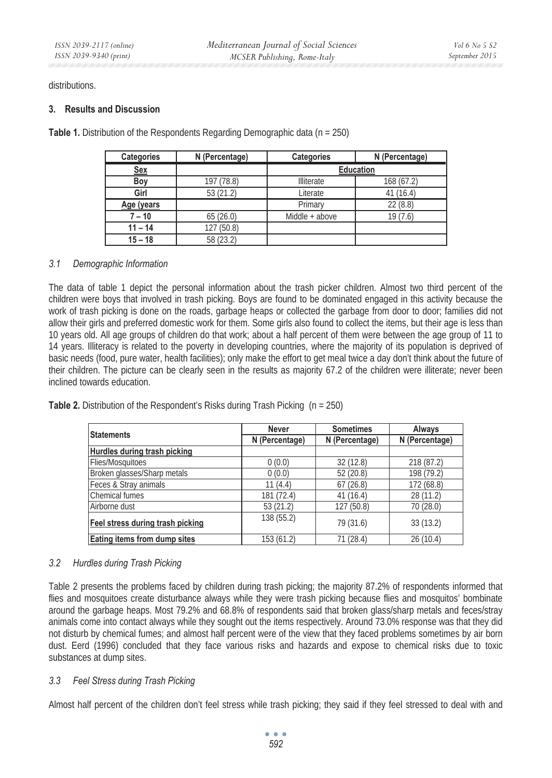distributions.

### **3. Results and Discussion**

| <b>Categories</b> | N (Percentage) | <b>Categories</b> | N (Percentage) |  |
|-------------------|----------------|-------------------|----------------|--|
| <b>Sex</b>        |                | <b>Education</b>  |                |  |
| Boy               | 197 (78.8)     | Illiterate        | 168 (67.2)     |  |
| Girl              | 53(21.2)       | Literate          | 41(16.4)       |  |
| Age (years        |                | Primary           | 22(8.8)        |  |
| $7 - 10$          | 65(26.0)       | Middle $+$ above  | 19 (7.6)       |  |
| $11 - 14$         | 127 (50.8)     |                   |                |  |
| $15 - 18$         | 58 (23.2)      |                   |                |  |

**Table 1.** Distribution of the Respondents Regarding Demographic data (n = 250)

## *3.1 Demographic Information*

The data of table 1 depict the personal information about the trash picker children. Almost two third percent of the children were boys that involved in trash picking. Boys are found to be dominated engaged in this activity because the work of trash picking is done on the roads, garbage heaps or collected the garbage from door to door; families did not allow their girls and preferred domestic work for them. Some girls also found to collect the items, but their age is less than 10 years old. All age groups of children do that work; about a half percent of them were between the age group of 11 to 14 years. Illiteracy is related to the poverty in developing countries, where the majority of its population is deprived of basic needs (food, pure water, health facilities); only make the effort to get meal twice a day don't think about the future of their children. The picture can be clearly seen in the results as majority 67.2 of the children were illiterate; never been inclined towards education.

|                                  | <b>Never</b>   | <b>Sometimes</b> | Always         |
|----------------------------------|----------------|------------------|----------------|
| <b>Statements</b>                | N (Percentage) | N (Percentage)   | N (Percentage) |
| Hurdles during trash picking     |                |                  |                |
| Flies/Mosquitoes                 | 0(0.0)         | 32(12.8)         | 218 (87.2)     |
| Broken glasses/Sharp metals      | 0(0.0)         | 52(20.8)         | 198 (79.2)     |
| Feces & Stray animals            | 11(4.4)        | 67(26.8)         | 172 (68.8)     |
| <b>Chemical fumes</b>            | 181 (72.4)     | 41(16.4)         | 28 (11.2)      |
| Airborne dust                    | 53(21.2)       | 127 (50.8)       | 70 (28.0)      |
| Feel stress during trash picking | 138 (55.2)     | 79 (31.6)        | 33(13.2)       |
| Eating items from dump sites     | 153 (61.2)     | 71 (28.4)        | 26(10.4)       |

**Table 2.** Distribution of the Respondent's Risks during Trash Picking (n = 250)

## *3.2 Hurdles during Trash Picking*

Table 2 presents the problems faced by children during trash picking; the majority 87.2% of respondents informed that flies and mosquitoes create disturbance always while they were trash picking because flies and mosquitos' bombinate around the garbage heaps. Most 79.2% and 68.8% of respondents said that broken glass/sharp metals and feces/stray animals come into contact always while they sought out the items respectively. Around 73.0% response was that they did not disturb by chemical fumes; and almost half percent were of the view that they faced problems sometimes by air born dust. Eerd (1996) concluded that they face various risks and hazards and expose to chemical risks due to toxic substances at dump sites.

# *3.3 Feel Stress during Trash Picking*

Almost half percent of the children don't feel stress while trash picking; they said if they feel stressed to deal with and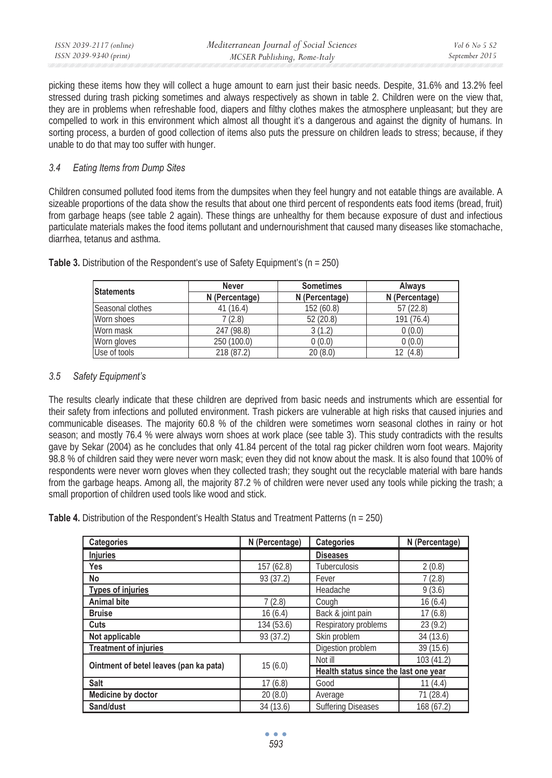| ISSN 2039-2117 (online) | Mediterranean Journal of Social Sciences | Vol 6 No 5 S2  |
|-------------------------|------------------------------------------|----------------|
| ISSN 2039-9340 (print)  | MCSER Publishing, Rome-Italy             | September 2015 |

picking these items how they will collect a huge amount to earn just their basic needs. Despite, 31.6% and 13.2% feel stressed during trash picking sometimes and always respectively as shown in table 2. Children were on the view that, they are in problems when refreshable food, diapers and filthy clothes makes the atmosphere unpleasant; but they are compelled to work in this environment which almost all thought it's a dangerous and against the dignity of humans. In sorting process, a burden of good collection of items also puts the pressure on children leads to stress; because, if they unable to do that may too suffer with hunger.

# *3.4 Eating Items from Dump Sites*

Children consumed polluted food items from the dumpsites when they feel hungry and not eatable things are available. A sizeable proportions of the data show the results that about one third percent of respondents eats food items (bread, fruit) from garbage heaps (see table 2 again). These things are unhealthy for them because exposure of dust and infectious particulate materials makes the food items pollutant and undernourishment that caused many diseases like stomachache, diarrhea, tetanus and asthma.

| <b>Statements</b> | <b>Never</b>   | <b>Sometimes</b> | Always         |
|-------------------|----------------|------------------|----------------|
|                   | N (Percentage) | N (Percentage)   | N (Percentage) |
| Seasonal clothes  | 41 (16.4)      | 152 (60.8)       | 57(22.8)       |
| Worn shoes        | 7 (2.8)        | 52(20.8)         | 191 (76.4)     |
| Worn mask         | 247 (98.8)     | 3(1.2)           | 0(0.0)         |
| Worn gloves       | 250 (100.0)    | 0(0.0)           | 0(0.0)         |
| Use of tools      | 218 (87.2)     | 20(8.0)          | 12(4.8)        |

**Table 3.** Distribution of the Respondent's use of Safety Equipment's (n = 250)

# *3.5 Safety Equipment's*

The results clearly indicate that these children are deprived from basic needs and instruments which are essential for their safety from infections and polluted environment. Trash pickers are vulnerable at high risks that caused injuries and communicable diseases. The majority 60.8 % of the children were sometimes worn seasonal clothes in rainy or hot season; and mostly 76.4 % were always worn shoes at work place (see table 3). This study contradicts with the results gave by Sekar (2004) as he concludes that only 41.84 percent of the total rag picker children worn foot wears. Majority 98.8 % of children said they were never worn mask; even they did not know about the mask. It is also found that 100% of respondents were never worn gloves when they collected trash; they sought out the recyclable material with bare hands from the garbage heaps. Among all, the majority 87.2 % of children were never used any tools while picking the trash; a small proportion of children used tools like wood and stick.

**Table 4.** Distribution of the Respondent's Health Status and Treatment Patterns (n = 250)

| <b>Categories</b>                      | N (Percentage) | <b>Categories</b>                     | N (Percentage) |
|----------------------------------------|----------------|---------------------------------------|----------------|
| <b>Injuries</b>                        |                | <b>Diseases</b>                       |                |
| Yes                                    | 157 (62.8)     | <b>Tuberculosis</b>                   | 2(0.8)         |
| No                                     | 93 (37.2)      | Fever                                 | 7(2.8)         |
| <b>Types of injuries</b>               |                | Headache                              | 9(3.6)         |
| <b>Animal bite</b>                     | 7(2.8)         | Cough                                 | 16(6.4)        |
| <b>Bruise</b>                          | 16(6.4)        | Back & joint pain                     | 17(6.8)        |
| Cuts                                   | 134 (53.6)     | Respiratory problems                  | 23(9.2)        |
| Not applicable                         | 93 (37.2)      | Skin problem                          | 34 (13.6)      |
| <b>Treatment of injuries</b>           |                | Digestion problem                     | 39 (15.6)      |
| Ointment of betel leaves (pan ka pata) | 15(6.0)        | Not ill                               | 103 (41.2)     |
|                                        |                | Health status since the last one year |                |
| Salt                                   | 17(6.8)        | Good                                  | 11(4.4)        |
| <b>Medicine by doctor</b>              | 20(8.0)        | Average                               | 71(28.4)       |
| Sand/dust                              | 34 (13.6)      | <b>Suffering Diseases</b>             | 168 (67.2)     |

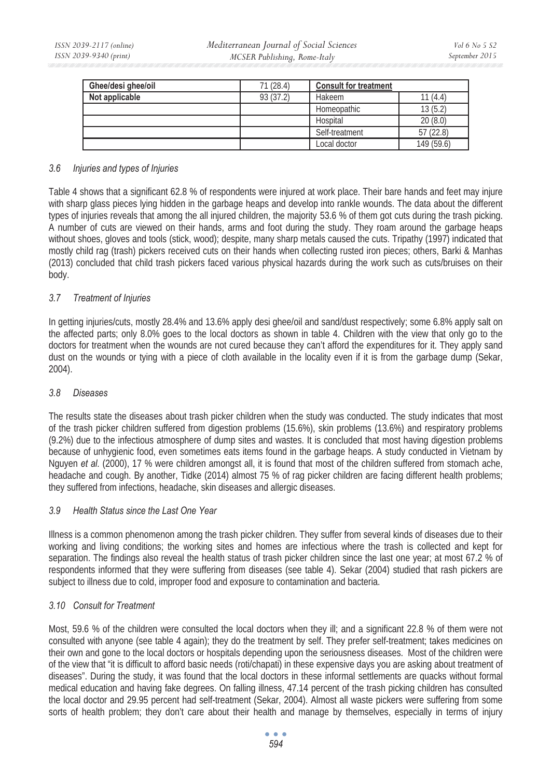| Ghee/desi ghee/oil | 71 (28.4) | <b>Consult for treatment</b> |            |
|--------------------|-----------|------------------------------|------------|
| Not applicable     | 93(37.2)  | Hakeem                       | 11 (4.4)   |
|                    |           | Homeopathic                  | 13(5.2)    |
|                    |           | Hospital                     | 20(8.0)    |
|                    |           | Self-treatment               | 57(22.8)   |
|                    |           | Local doctor                 | 149 (59.6) |

### *3.6 Injuries and types of Injuries*

Table 4 shows that a significant 62.8 % of respondents were injured at work place. Their bare hands and feet may injure with sharp glass pieces lying hidden in the garbage heaps and develop into rankle wounds. The data about the different types of injuries reveals that among the all injured children, the majority 53.6 % of them got cuts during the trash picking. A number of cuts are viewed on their hands, arms and foot during the study. They roam around the garbage heaps without shoes, gloves and tools (stick, wood); despite, many sharp metals caused the cuts. Tripathy (1997) indicated that mostly child rag (trash) pickers received cuts on their hands when collecting rusted iron pieces; others, Barki & Manhas (2013) concluded that child trash pickers faced various physical hazards during the work such as cuts/bruises on their body.

## *3.7 Treatment of Injuries*

In getting injuries/cuts, mostly 28.4% and 13.6% apply desi ghee/oil and sand/dust respectively; some 6.8% apply salt on the affected parts; only 8.0% goes to the local doctors as shown in table 4. Children with the view that only go to the doctors for treatment when the wounds are not cured because they can't afford the expenditures for it. They apply sand dust on the wounds or tying with a piece of cloth available in the locality even if it is from the garbage dump (Sekar, 2004).

### *3.8 Diseases*

The results state the diseases about trash picker children when the study was conducted. The study indicates that most of the trash picker children suffered from digestion problems (15.6%), skin problems (13.6%) and respiratory problems (9.2%) due to the infectious atmosphere of dump sites and wastes. It is concluded that most having digestion problems because of unhygienic food, even sometimes eats items found in the garbage heaps. A study conducted in Vietnam by Nguyen *et al.* (2000), 17 % were children amongst all, it is found that most of the children suffered from stomach ache, headache and cough. By another, Tidke (2014) almost 75 % of rag picker children are facing different health problems; they suffered from infections, headache, skin diseases and allergic diseases.

#### *3.9 Health Status since the Last One Year*

Illness is a common phenomenon among the trash picker children. They suffer from several kinds of diseases due to their working and living conditions; the working sites and homes are infectious where the trash is collected and kept for separation. The findings also reveal the health status of trash picker children since the last one year; at most 67.2 % of respondents informed that they were suffering from diseases (see table 4). Sekar (2004) studied that rash pickers are subject to illness due to cold, improper food and exposure to contamination and bacteria.

## *3.10 Consult for Treatment*

Most, 59.6 % of the children were consulted the local doctors when they ill; and a significant 22.8 % of them were not consulted with anyone (see table 4 again); they do the treatment by self. They prefer self-treatment; takes medicines on their own and gone to the local doctors or hospitals depending upon the seriousness diseases. Most of the children were of the view that "it is difficult to afford basic needs (roti/chapati) in these expensive days you are asking about treatment of diseases". During the study, it was found that the local doctors in these informal settlements are quacks without formal medical education and having fake degrees. On falling illness, 47.14 percent of the trash picking children has consulted the local doctor and 29.95 percent had self-treatment (Sekar, 2004). Almost all waste pickers were suffering from some sorts of health problem; they don't care about their health and manage by themselves, especially in terms of injury